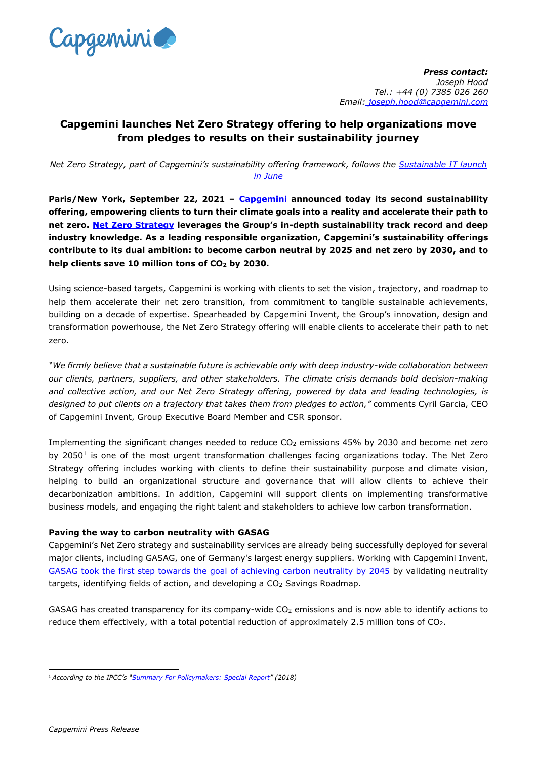

*Press contact: Joseph Hood Tel.: +44 (0) 7385 026 260 Email: joseph.hood@capgemini.com*

## **Capgemini launches Net Zero Strategy offering to help organizations move from pledges to results on their sustainability journey**

*Net Zero Strategy, part of Capgemini's sustainability offering framework, follows the [Sustainable IT launch](https://www.capgemini.com/news/capgemini-launches-sustainable-it-to-reduce-it-carbon-footprint-first-offering-of-capgeminis-end-to-end-sustainability-framework/)  [in June](https://www.capgemini.com/news/capgemini-launches-sustainable-it-to-reduce-it-carbon-footprint-first-offering-of-capgeminis-end-to-end-sustainability-framework/)*

**Paris/New York, September 22, 2021 – [Capgemini](http://www.capgemini.com/) announced today its second sustainability offering, empowering clients to turn their climate goals into a reality and accelerate their path to net zero. [Net Zero Strategy](https://www.capgemini.com/service/invent/path-to-net-zero) leverages the Group's in-depth sustainability track record and deep industry knowledge. As a leading responsible organization, Capgemini's sustainability offerings contribute to its dual ambition: to become carbon neutral by 2025 and net zero by 2030, and to help clients save 10 million tons of CO<sup>2</sup> by 2030.**

Using science-based targets, Capgemini is working with clients to set the vision, trajectory, and roadmap to help them accelerate their net zero transition, from commitment to tangible sustainable achievements, building on a decade of expertise. Spearheaded by Capgemini Invent, the Group's innovation, design and transformation powerhouse, the Net Zero Strategy offering will enable clients to accelerate their path to net zero.

*"We firmly believe that a sustainable future is achievable only with deep industry-wide collaboration between our clients, partners, suppliers, and other stakeholders. The climate crisis demands bold decision-making and collective action, and our Net Zero Strategy offering, powered by data and leading technologies, is designed to put clients on a trajectory that takes them from pledges to action,"* comments Cyril Garcia, CEO of Capgemini Invent, Group Executive Board Member and CSR sponsor.

Implementing the significant changes needed to reduce CO<sub>2</sub> emissions 45% by 2030 and become net zero by 2050<sup>1</sup> is one of the most urgent transformation challenges facing organizations today. The Net Zero Strategy offering includes working with clients to define their sustainability purpose and climate vision, helping to build an organizational structure and governance that will allow clients to achieve their decarbonization ambitions. In addition, Capgemini will support clients on implementing transformative business models, and engaging the right talent and stakeholders to achieve low carbon transformation.

## **Paving the way to carbon neutrality with GASAG**

Capgemini's Net Zero strategy and sustainability services are already being successfully deployed for several major clients, including GASAG, one of Germany's largest energy suppliers. Working with Capgemini Invent, GASAG took the first step towards [the goal of achieving carbon neutrality by 2045](https://www.capgemini.com/client-story/defining-gasags-transformation-journey-to-carbon-neutrality-by-2045) by validating neutrality targets, identifying fields of action, and developing a CO<sub>2</sub> Savings Roadmap.

GASAG has created transparency for its company-wide CO<sub>2</sub> emissions and is now able to identify actions to reduce them effectively, with a total potential reduction of approximately 2.5 million tons of CO2.

<sup>1</sup> *According to the IPCC's "[Summary For Policymakers: Special Report](https://www.ipcc.ch/site/assets/uploads/sites/2/2019/06/SR15_Summary_Volume_Low_Res.pdf)" (2018)*